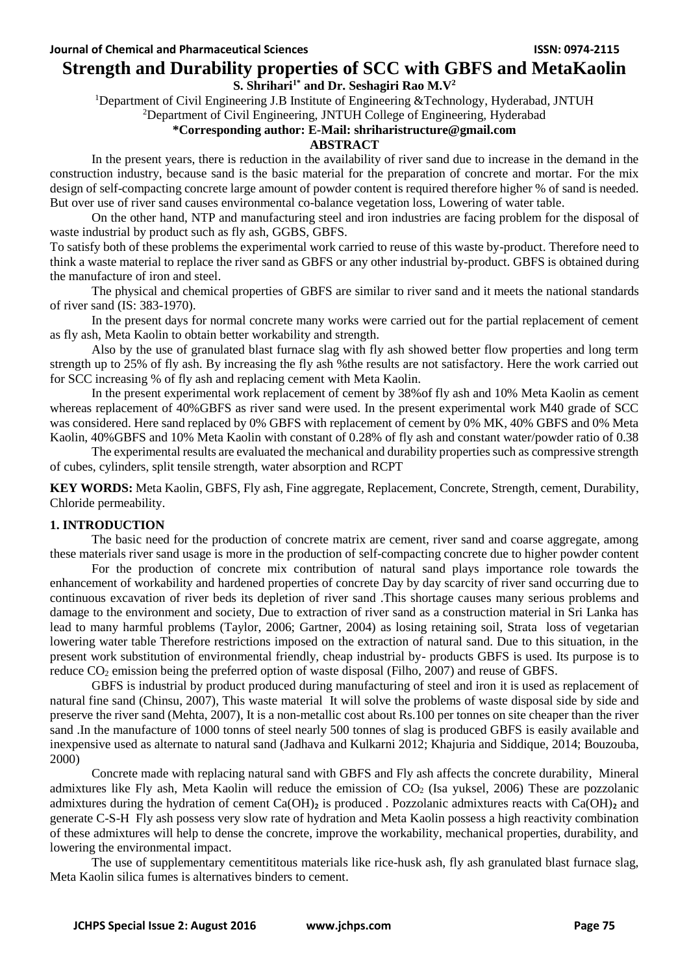# **Strength and Durability properties of SCC with GBFS and MetaKaolin**

# **S. Shrihari1\* and Dr. Seshagiri Rao M.V<sup>2</sup>**

<sup>1</sup>Department of Civil Engineering J.B Institute of Engineering &Technology, Hyderabad, JNTUH

# <sup>2</sup>Department of Civil Engineering, JNTUH College of Engineering, Hyderabad

### **\*Corresponding author: E-Mail: shriharistructure@gmail.com**

# **ABSTRACT**

In the present years, there is reduction in the availability of river sand due to increase in the demand in the construction industry, because sand is the basic material for the preparation of concrete and mortar. For the mix design of self-compacting concrete large amount of powder content is required therefore higher % of sand is needed. But over use of river sand causes environmental co-balance vegetation loss, Lowering of water table.

On the other hand, NTP and manufacturing steel and iron industries are facing problem for the disposal of waste industrial by product such as fly ash, GGBS, GBFS.

To satisfy both of these problems the experimental work carried to reuse of this waste by-product. Therefore need to think a waste material to replace the river sand as GBFS or any other industrial by-product. GBFS is obtained during the manufacture of iron and steel.

The physical and chemical properties of GBFS are similar to river sand and it meets the national standards of river sand (IS: 383-1970).

In the present days for normal concrete many works were carried out for the partial replacement of cement as fly ash, Meta Kaolin to obtain better workability and strength.

Also by the use of granulated blast furnace slag with fly ash showed better flow properties and long term strength up to 25% of fly ash. By increasing the fly ash %the results are not satisfactory. Here the work carried out for SCC increasing % of fly ash and replacing cement with Meta Kaolin.

In the present experimental work replacement of cement by 38%of fly ash and 10% Meta Kaolin as cement whereas replacement of 40%GBFS as river sand were used. In the present experimental work M40 grade of SCC was considered. Here sand replaced by 0% GBFS with replacement of cement by 0% MK, 40% GBFS and 0% Meta Kaolin, 40%GBFS and 10% Meta Kaolin with constant of 0.28% of fly ash and constant water/powder ratio of 0.38

The experimental results are evaluated the mechanical and durability properties such as compressive strength of cubes, cylinders, split tensile strength, water absorption and RCPT

**KEY WORDS:** Meta Kaolin, GBFS, Fly ash, Fine aggregate, Replacement, Concrete, Strength, cement, Durability, Chloride permeability.

#### **1. INTRODUCTION**

The basic need for the production of concrete matrix are cement, river sand and coarse aggregate, among these materials river sand usage is more in the production of self-compacting concrete due to higher powder content

For the production of concrete mix contribution of natural sand plays importance role towards the enhancement of workability and hardened properties of concrete Day by day scarcity of river sand occurring due to continuous excavation of river beds its depletion of river sand .This shortage causes many serious problems and damage to the environment and society, Due to extraction of river sand as a construction material in Sri Lanka has lead to many harmful problems (Taylor, 2006; Gartner, 2004) as losing retaining soil, Strata loss of vegetarian lowering water table Therefore restrictions imposed on the extraction of natural sand. Due to this situation, in the present work substitution of environmental friendly, cheap industrial by- products GBFS is used. Its purpose is to reduce CO<sub>2</sub> emission being the preferred option of waste disposal (Filho, 2007) and reuse of GBFS.

GBFS is industrial by product produced during manufacturing of steel and iron it is used as replacement of natural fine sand (Chinsu, 2007), This waste material It will solve the problems of waste disposal side by side and preserve the river sand (Mehta, 2007), It is a non-metallic cost about Rs.100 per tonnes on site cheaper than the river sand .In the manufacture of 1000 tonns of steel nearly 500 tonnes of slag is produced GBFS is easily available and inexpensive used as alternate to natural sand (Jadhava and Kulkarni 2012; Khajuria and Siddique, 2014; Bouzouba, 2000)

Concrete made with replacing natural sand with GBFS and Fly ash affects the concrete durability, Mineral admixtures like Fly ash, Meta Kaolin will reduce the emission of  $CO<sub>2</sub>$  (Isa yuksel, 2006) These are pozzolanic admixtures during the hydration of cement  $Ca(OH)_2$  is produced . Pozzolanic admixtures reacts with  $Ca(OH)_2$  and generate C-S-H Fly ash possess very slow rate of hydration and Meta Kaolin possess a high reactivity combination of these admixtures will help to dense the concrete, improve the workability, mechanical properties, durability, and lowering the environmental impact.

The use of supplementary cementititous materials like rice-husk ash, fly ash granulated blast furnace slag, Meta Kaolin silica fumes is alternatives binders to cement.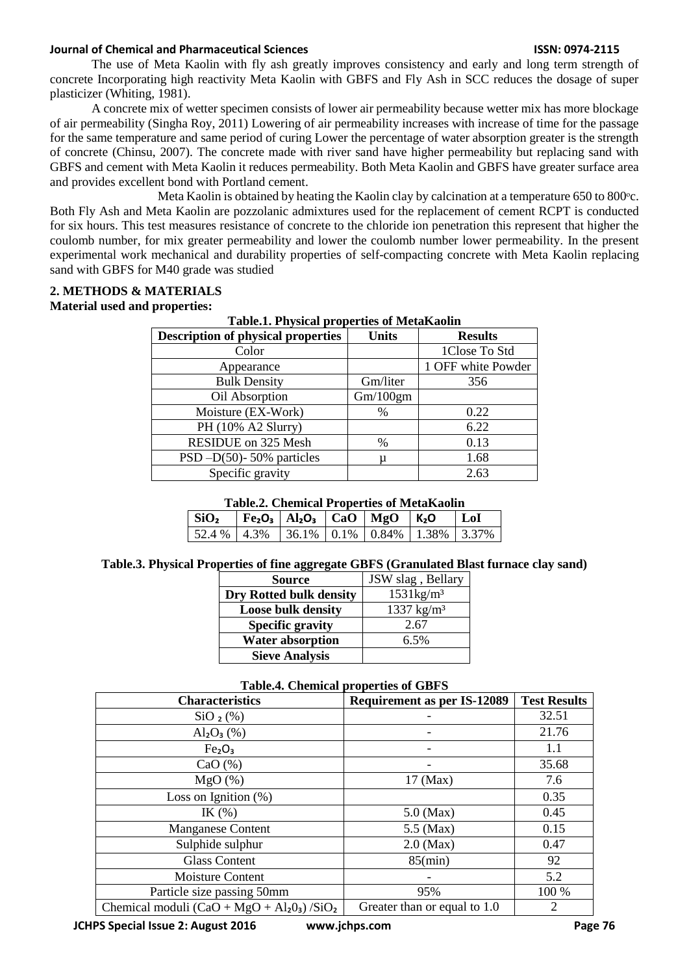#### **Journal of Chemical and Pharmaceutical Sciences ISSN: 0974-2115**

The use of Meta Kaolin with fly ash greatly improves consistency and early and long term strength of concrete Incorporating high reactivity Meta Kaolin with GBFS and Fly Ash in SCC reduces the dosage of super plasticizer (Whiting, 1981).

A concrete mix of wetter specimen consists of lower air permeability because wetter mix has more blockage of air permeability (Singha Roy, 2011) Lowering of air permeability increases with increase of time for the passage for the same temperature and same period of curing Lower the percentage of water absorption greater is the strength of concrete (Chinsu, 2007). The concrete made with river sand have higher permeability but replacing sand with GBFS and cement with Meta Kaolin it reduces permeability. Both Meta Kaolin and GBFS have greater surface area and provides excellent bond with Portland cement.

Meta Kaolin is obtained by heating the Kaolin clay by calcination at a temperature 650 to 800 °c. Both Fly Ash and Meta Kaolin are pozzolanic admixtures used for the replacement of cement RCPT is conducted for six hours. This test measures resistance of concrete to the chloride ion penetration this represent that higher the coulomb number, for mix greater permeability and lower the coulomb number lower permeability. In the present experimental work mechanical and durability properties of self-compacting concrete with Meta Kaolin replacing sand with GBFS for M40 grade was studied

#### **2. METHODS & MATERIALS Material used and properties:**

| <b>Table.1. Physical properties of MetaKaolin</b> |              |                    |  |  |  |  |
|---------------------------------------------------|--------------|--------------------|--|--|--|--|
| <b>Description of physical properties</b>         | <b>Units</b> | <b>Results</b>     |  |  |  |  |
| Color                                             |              | 1Close To Std      |  |  |  |  |
| Appearance                                        |              | 1 OFF white Powder |  |  |  |  |
| <b>Bulk Density</b>                               | Gm/liter     | 356                |  |  |  |  |
| Oil Absorption                                    | Gm/100gm     |                    |  |  |  |  |
| Moisture (EX-Work)                                | $\%$         | 0.22               |  |  |  |  |
| PH (10% A2 Slurry)                                |              | 6.22               |  |  |  |  |
| <b>RESIDUE</b> on 325 Mesh                        | $\%$         | 0.13               |  |  |  |  |
| $PSD -D(50)$ -50% particles                       | μ            | 1.68               |  |  |  |  |
| Specific gravity                                  |              | 2.63               |  |  |  |  |

# **Table.1. Physical properties of MetaKaolin**

#### **Table.2. Chemical Properties of MetaKaolin**

| SiO <sub>2</sub>                                                                          | $\vert$ Fe <sub>2</sub> O <sub>3</sub> $\vert$ Al <sub>2</sub> O <sub>3</sub> $\vert$ CaO $\vert$ MgO $\vert$ K <sub>2</sub> O |  | $ $ LoI |
|-------------------------------------------------------------------------------------------|--------------------------------------------------------------------------------------------------------------------------------|--|---------|
| $\mid$ 52.4 % $\mid$ 4.3% $\mid$ 36.1% $\mid$ 0.1% $\mid$ 0.84% $\mid$ 1.38% $\mid$ 3.37% |                                                                                                                                |  |         |

#### **Table.3. Physical Properties of fine aggregate GBFS (Granulated Blast furnace clay sand)**

| <b>Source</b>             | JSW slag, Bellary     |
|---------------------------|-----------------------|
| Dry Rotted bulk density   | $1531\text{kg/m}^3$   |
| <b>Loose bulk density</b> | $1337 \text{ kg/m}^3$ |
| <b>Specific gravity</b>   | 2.67                  |
| <b>Water absorption</b>   | 6.5%                  |
| <b>Sieve Analysis</b>     |                       |

#### **Table.4. Chemical properties of GBFS**

| <b>Characteristics</b>                                  | <b>Requirement as per IS-12089</b> | <b>Test Results</b> |
|---------------------------------------------------------|------------------------------------|---------------------|
| SiO <sub>2</sub> (%)                                    |                                    | 32.51               |
| $Al_2O_3$ (%)                                           |                                    | 21.76               |
| Fe <sub>2</sub> O <sub>3</sub>                          |                                    | 1.1                 |
| CaO $(\% )$                                             |                                    | 35.68               |
| MgO(%)                                                  | $17 \text{ (Max)}$                 | 7.6                 |
| Loss on Ignition $(\%)$                                 |                                    | 0.35                |
| IK $(%)$                                                | $5.0$ (Max)                        | 0.45                |
| Manganese Content                                       | $5.5$ (Max)                        | 0.15                |
| Sulphide sulphur                                        | $2.0$ (Max)                        | 0.47                |
| <b>Glass Content</b>                                    | $85$ (min)                         | 92                  |
| Moisture Content                                        |                                    | 5.2                 |
| Particle size passing 50mm                              | 95%                                | 100 %               |
| Chemical moduli $(CaO + MgO + Al2O3)$ /SiO <sub>2</sub> | Greater than or equal to 1.0       | $\overline{2}$      |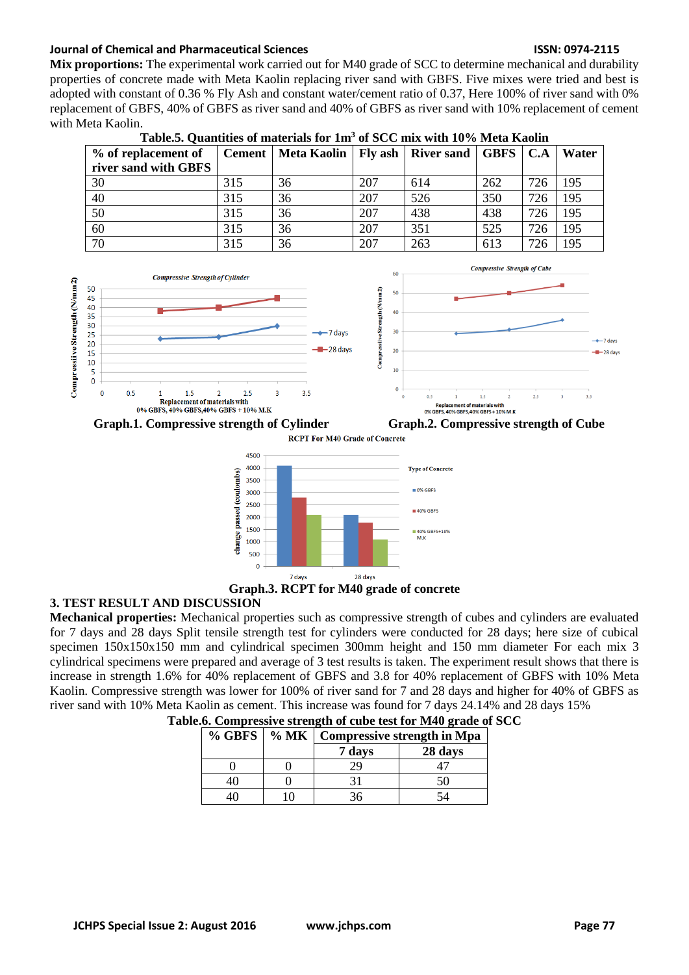## **Journal of Chemical and Pharmaceutical Sciences ISSN: 0974-2115**

**Mix proportions:** The experimental work carried out for M40 grade of SCC to determine mechanical and durability properties of concrete made with Meta Kaolin replacing river sand with GBFS. Five mixes were tried and best is adopted with constant of 0.36 % Fly Ash and constant water/cement ratio of 0.37, Here 100% of river sand with 0% replacement of GBFS, 40% of GBFS as river sand and 40% of GBFS as river sand with 10% replacement of cement with Meta Kaolin.

| % of replacement of  |     | Cement   Meta Kaolin   Fly ash |     | <b>River sand   GBFS   C.A</b> |     |     | Water |
|----------------------|-----|--------------------------------|-----|--------------------------------|-----|-----|-------|
| river sand with GBFS |     |                                |     |                                |     |     |       |
| 30                   | 315 | 36                             | 207 | 614                            | 262 | 726 | 195   |
| 40                   | 315 | 36                             | 207 | 526                            | 350 | 726 | 195   |
| 50                   | 315 | 36                             | 207 | 438                            | 438 | 726 | 195   |
| 60                   | 315 | 36                             | 207 | 351                            | 525 | 726 | 195   |
| 70                   | 315 | 36                             | 207 | 263                            | 613 | 726 | 195   |











# **Graph.3. RCPT for M40 grade of concrete**

# **3. TEST RESULT AND DISCUSSION**

**Mechanical properties:** Mechanical properties such as compressive strength of cubes and cylinders are evaluated for 7 days and 28 days Split tensile strength test for cylinders were conducted for 28 days; here size of cubical specimen 150x150x150 mm and cylindrical specimen 300mm height and 150 mm diameter For each mix 3 cylindrical specimens were prepared and average of 3 test results is taken. The experiment result shows that there is increase in strength 1.6% for 40% replacement of GBFS and 3.8 for 40% replacement of GBFS with 10% Meta Kaolin. Compressive strength was lower for 100% of river sand for 7 and 28 days and higher for 40% of GBFS as river sand with 10% Meta Kaolin as cement. This increase was found for 7 days 24.14% and 28 days 15%

|  | % GBFS   % MK   Compressive strength in Mpa |         |
|--|---------------------------------------------|---------|
|  | 7 days                                      | 28 days |
|  | 29                                          |         |
|  |                                             |         |
|  |                                             |         |

| Table.6. Compressive strength of cube test for M40 grade of SCC |  |  |  |  |  |  |  |  |  |  |
|-----------------------------------------------------------------|--|--|--|--|--|--|--|--|--|--|
|-----------------------------------------------------------------|--|--|--|--|--|--|--|--|--|--|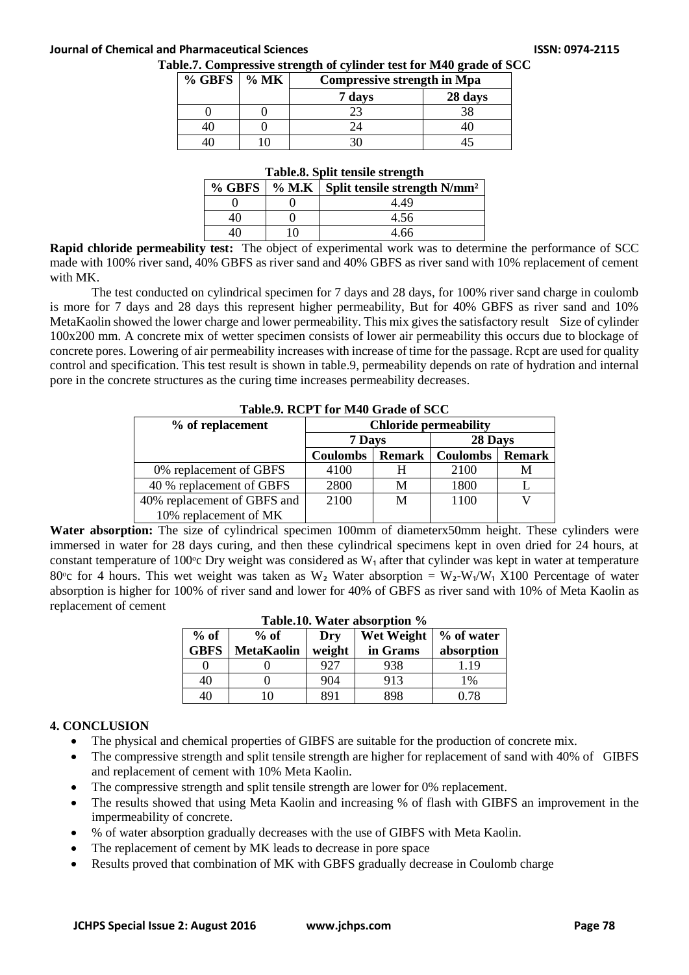### **Journal of Chemical and Pharmaceutical Sciences ISSN: 0974-2115**

#### **Table.7. Compressive strength of cylinder test for M40 grade of SCC**

| $\%$ GBFS $\mid$ % MK | <b>Compressive strength in Mpa</b> |         |
|-----------------------|------------------------------------|---------|
|                       | 7 days                             | 28 days |
|                       |                                    |         |
|                       |                                    |         |
|                       |                                    |         |

# **Table.8. Split tensile strength**

|  | Tabic.o. Dpht ichshe strength                             |
|--|-----------------------------------------------------------|
|  | % GBFS   % M.K   Split tensile strength N/mm <sup>2</sup> |
|  | 4 49                                                      |
|  | 4.56                                                      |
|  | 4.66                                                      |

**Rapid chloride permeability test:** The object of experimental work was to determine the performance of SCC made with 100% river sand, 40% GBFS as river sand and 40% GBFS as river sand with 10% replacement of cement with MK.

The test conducted on cylindrical specimen for 7 days and 28 days, for 100% river sand charge in coulomb is more for 7 days and 28 days this represent higher permeability, But for 40% GBFS as river sand and 10% MetaKaolin showed the lower charge and lower permeability. This mix gives the satisfactory result Size of cylinder 100x200 mm. A concrete mix of wetter specimen consists of lower air permeability this occurs due to blockage of concrete pores. Lowering of air permeability increases with increase of time for the passage. Rcpt are used for quality control and specification. This test result is shown in table.9, permeability depends on rate of hydration and internal pore in the concrete structures as the curing time increases permeability decreases.

| <b>Lavit.</b> A NOLL THAT ME WE SEE THAT IT SUCK |                              |               |                 |               |  |  |
|--------------------------------------------------|------------------------------|---------------|-----------------|---------------|--|--|
| % of replacement                                 | <b>Chloride permeability</b> |               |                 |               |  |  |
|                                                  | 7 Days                       |               | 28 Days         |               |  |  |
|                                                  | <b>Coulombs</b>              | <b>Remark</b> | <b>Coulombs</b> | <b>Remark</b> |  |  |
| 0% replacement of GBFS                           | 4100                         |               | 2100            | M             |  |  |
| 40 % replacement of GBFS                         | 2800                         | М             | 1800            |               |  |  |
| 40% replacement of GBFS and                      | 2100                         | М             | 1100            |               |  |  |
| 10% replacement of MK                            |                              |               |                 |               |  |  |

**Table.9. RCPT for M40 Grade of SCC**

Water absorption: The size of cylindrical specimen 100mm of diameterx50mm height. These cylinders were immersed in water for 28 days curing, and then these cylindrical specimens kept in oven dried for 24 hours, at constant temperature of 100 $^{\circ}$ c Dry weight was considered as W<sub>1</sub> after that cylinder was kept in water at temperature 80<sup>o</sup>c for 4 hours. This wet weight was taken as W<sub>2</sub> Water absorption = W<sub>2</sub>-W<sub>1</sub>/W<sub>1</sub> X100 Percentage of water absorption is higher for 100% of river sand and lower for 40% of GBFS as river sand with 10% of Meta Kaolin as replacement of cement

| rabic.ro. Watch absorption 70 |                   |        |                   |            |  |  |  |  |
|-------------------------------|-------------------|--------|-------------------|------------|--|--|--|--|
| $%$ of                        | $%$ of            | Dry    | <b>Wet Weight</b> | % of water |  |  |  |  |
| <b>GBFS</b>                   | <b>MetaKaolin</b> | weight | in Grams          | absorption |  |  |  |  |
|                               |                   | 927    | 938               | 1.19       |  |  |  |  |
| 40                            |                   | 904    | 913               | 1%         |  |  |  |  |
| 40                            | 10                | 891    | 898               | 0.78       |  |  |  |  |

#### **Table.10. Water absorption %**

### **4. CONCLUSION**

- The physical and chemical properties of GIBFS are suitable for the production of concrete mix.
- The compressive strength and split tensile strength are higher for replacement of sand with 40% of GIBFS and replacement of cement with 10% Meta Kaolin.
- The compressive strength and split tensile strength are lower for 0% replacement.
- The results showed that using Meta Kaolin and increasing % of flash with GIBFS an improvement in the impermeability of concrete.
- % of water absorption gradually decreases with the use of GIBFS with Meta Kaolin.
- The replacement of cement by MK leads to decrease in pore space
- Results proved that combination of MK with GBFS gradually decrease in Coulomb charge